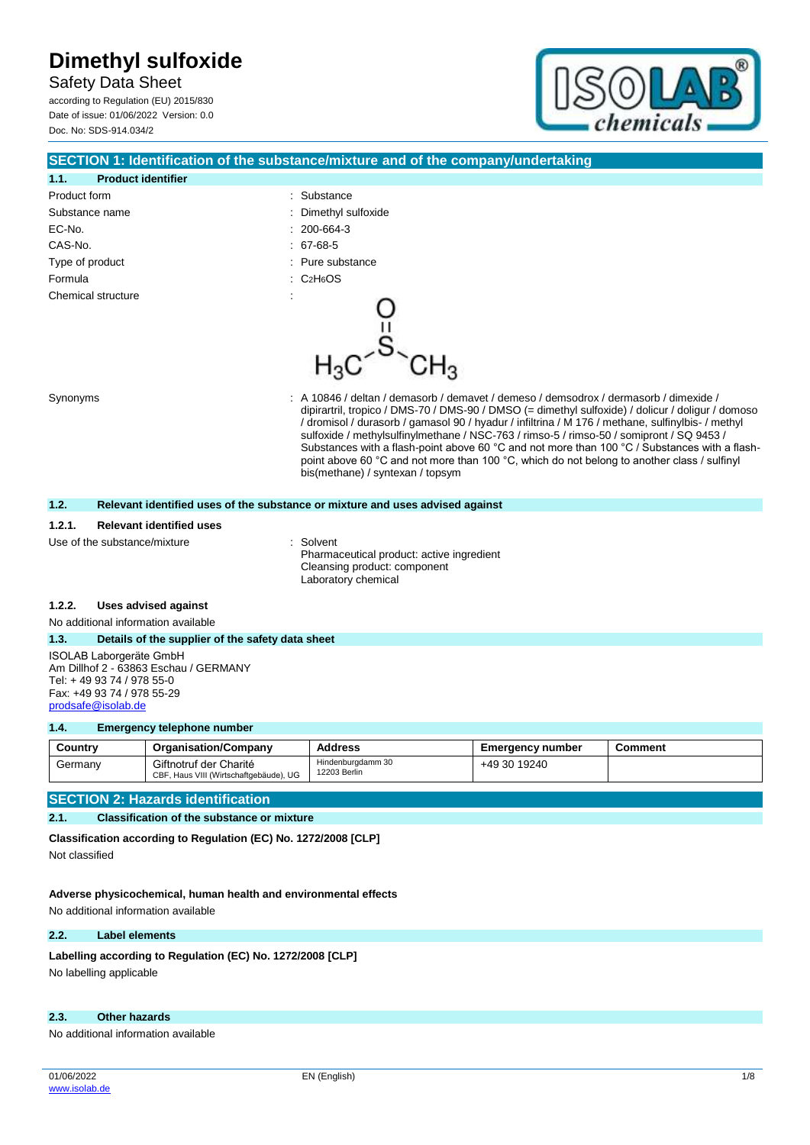Safety Data Sheet according to Regulation (EU) 2015/830 Date of issue: 01/06/2022 Version: 0.0 Doc. No: SDS-914.034/2



# **SECTION 1: Identification of the substance/mixture and of the company/undertaking 1.1. Product identifier** Product form **: Substance** : Substance Substance name  $\qquad \qquad$ : Dimethyl sulfoxide EC-No. : 200-664-3 CAS-No. : 67-68-5 Type of product in the substance in the substance in the substance in the substance Formula : C2H6OS Chemical structure Synonyms **Synonyms** : A 10846 / deltan / demasorb / demavet / demeso / demsodrox / dermasorb / dimexide / dipirartril, tropico / DMS-70 / DMS-90 / DMSO (= dimethyl sulfoxide) / dolicur / doligur / domoso / dromisol / durasorb / gamasol 90 / hyadur / infiltrina / M 176 / methane, sulfinylbis- / methyl sulfoxide / methylsulfinylmethane / NSC-763 / rimso-5 / rimso-50 / somipront / SQ 9453 / Substances with a flash-point above 60 °C and not more than 100 °C / Substances with a flashpoint above 60 °C and not more than 100 °C, which do not belong to another class / sulfinyl bis(methane) / syntexan / topsym **1.2. Relevant identified uses of the substance or mixture and uses advised against**

#### **1.2.1. Relevant identified uses**

Use of the substance/mixture in the solvent

Pharmaceutical product: active ingredient Cleansing product: component Laboratory chemical

#### **1.2.2. Uses advised against**

No additional information available

#### **1.3. Details of the supplier of the safety data sheet**

ISOLAB Laborgeräte GmbH Am Dillhof 2 - 63863 Eschau / GERMANY Tel: + 49 93 74 / 978 55-0 Fax: +49 93 74 / 978 55-29 [prodsafe@isolab.de](mailto:prodsafe@isolab.de)

#### **1.4. Emergency telephone number**

| Country | <b>Organisation/Company</b>                                      | <b>Address</b>                    | <b>Emergency number</b> | Comment |
|---------|------------------------------------------------------------------|-----------------------------------|-------------------------|---------|
| Germany | Giftnotruf der Charité<br>CBF, Haus VIII (Wirtschaftgebäude), UG | Hindenburgdamm 30<br>12203 Berlin | +49 30 19240            |         |

#### **SECTION 2: Hazards identification**

#### **2.1. Classification of the substance or mixture**

**Classification according to Regulation (EC) No. 1272/2008 [CLP]** Not classified

**Adverse physicochemical, human health and environmental effects**

No additional information available

#### **2.2. Label elements**

#### Labelling according to Regulation (EC) No. 1272/2008 [CLP]

No labelling applicable

#### **2.3. Other hazards**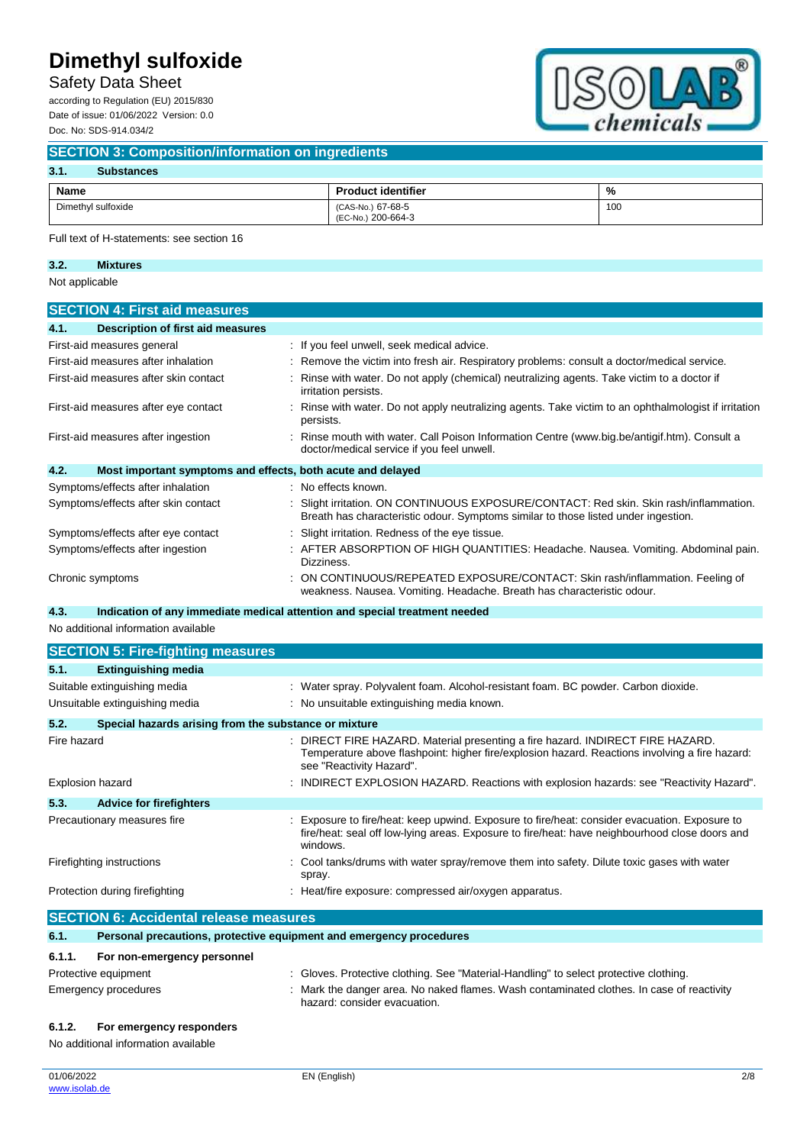Safety Data Sheet

according to Regulation (EU) 2015/830 Date of issue: 01/06/2022 Version: 0.0 Doc. No: SDS-914.034/2



#### **SECTION 3: Composition/information on ingredients**

#### **3.1. Substances**

| Name               | <b>Product identifier</b>               | %   |
|--------------------|-----------------------------------------|-----|
| Dimethyl sulfoxide | (CAS-No.) 67-68-5<br>(EC-No.) 200-664-3 | 100 |

Full text of H-statements: see section 16

### **3.2. Mixtures**

Not applicable

| <b>SECTION 4: First aid measures</b>                                |                                                                                                                                                                            |
|---------------------------------------------------------------------|----------------------------------------------------------------------------------------------------------------------------------------------------------------------------|
| Description of first aid measures<br>4.1.                           |                                                                                                                                                                            |
| First-aid measures general                                          | : If you feel unwell, seek medical advice.                                                                                                                                 |
| First-aid measures after inhalation                                 | : Remove the victim into fresh air. Respiratory problems: consult a doctor/medical service.                                                                                |
| First-aid measures after skin contact                               | Rinse with water. Do not apply (chemical) neutralizing agents. Take victim to a doctor if<br>irritation persists.                                                          |
| First-aid measures after eye contact                                | Rinse with water. Do not apply neutralizing agents. Take victim to an ophthalmologist if irritation<br>persists.                                                           |
| First-aid measures after ingestion                                  | : Rinse mouth with water. Call Poison Information Centre (www.big.be/antigif.htm). Consult a<br>doctor/medical service if you feel unwell.                                 |
| 4.2.<br>Most important symptoms and effects, both acute and delayed |                                                                                                                                                                            |
| Symptoms/effects after inhalation                                   | : No effects known.                                                                                                                                                        |
| Symptoms/effects after skin contact                                 | Slight irritation. ON CONTINUOUS EXPOSURE/CONTACT: Red skin. Skin rash/inflammation.<br>Breath has characteristic odour. Symptoms similar to those listed under ingestion. |
| Symptoms/effects after eye contact                                  | Slight irritation. Redness of the eye tissue.                                                                                                                              |
| Symptoms/effects after ingestion                                    | AFTER ABSORPTION OF HIGH QUANTITIES: Headache. Nausea. Vomiting. Abdominal pain.<br>Dizziness.                                                                             |
| Chronic symptoms                                                    | ON CONTINUOUS/REPEATED EXPOSURE/CONTACT: Skin rash/inflammation. Feeling of<br>weakness. Nausea. Vomiting. Headache. Breath has characteristic odour.                      |

#### **4.3. Indication of any immediate medical attention and special treatment needed**

No additional information available

|                  | <b>SECTION 5: Fire-fighting measures</b>                            |                                                                                                                                                                                                            |
|------------------|---------------------------------------------------------------------|------------------------------------------------------------------------------------------------------------------------------------------------------------------------------------------------------------|
| 5.1.             | <b>Extinguishing media</b>                                          |                                                                                                                                                                                                            |
|                  | Suitable extinguishing media                                        | : Water spray. Polyvalent foam. Alcohol-resistant foam. BC powder. Carbon dioxide.                                                                                                                         |
|                  | Unsuitable extinguishing media                                      | : No unsuitable extinguishing media known.                                                                                                                                                                 |
| 5.2.             | Special hazards arising from the substance or mixture               |                                                                                                                                                                                                            |
| Fire hazard      |                                                                     | DIRECT FIRE HAZARD. Material presenting a fire hazard. INDIRECT FIRE HAZARD.<br>Temperature above flashpoint: higher fire/explosion hazard. Reactions involving a fire hazard:<br>see "Reactivity Hazard". |
| Explosion hazard |                                                                     | INDIRECT EXPLOSION HAZARD. Reactions with explosion hazards: see "Reactivity Hazard".                                                                                                                      |
| 5.3.             | <b>Advice for firefighters</b>                                      |                                                                                                                                                                                                            |
|                  | Precautionary measures fire                                         | Exposure to fire/heat: keep upwind. Exposure to fire/heat: consider evacuation. Exposure to<br>fire/heat: seal off low-lying areas. Exposure to fire/heat: have neighbourhood close doors and<br>windows.  |
|                  | Firefighting instructions                                           | Cool tanks/drums with water spray/remove them into safety. Dilute toxic gases with water<br>spray.                                                                                                         |
|                  | Protection during firefighting                                      | Heat/fire exposure: compressed air/oxygen apparatus.                                                                                                                                                       |
|                  | <b>SECTION 6: Accidental release measures</b>                       |                                                                                                                                                                                                            |
| 6.1.             | Personal precautions, protective equipment and emergency procedures |                                                                                                                                                                                                            |
| 6.1.1.           | For non-emergency personnel                                         |                                                                                                                                                                                                            |

### Protective equipment : Gloves. Protective clothing. See "Material-Handling" to select protective clothing. Emergency procedures **in the state of the danger area.** No naked flames. Wash contaminated clothes. In case of reactivity hazard: consider evacuation. **6.1.2. For emergency responders**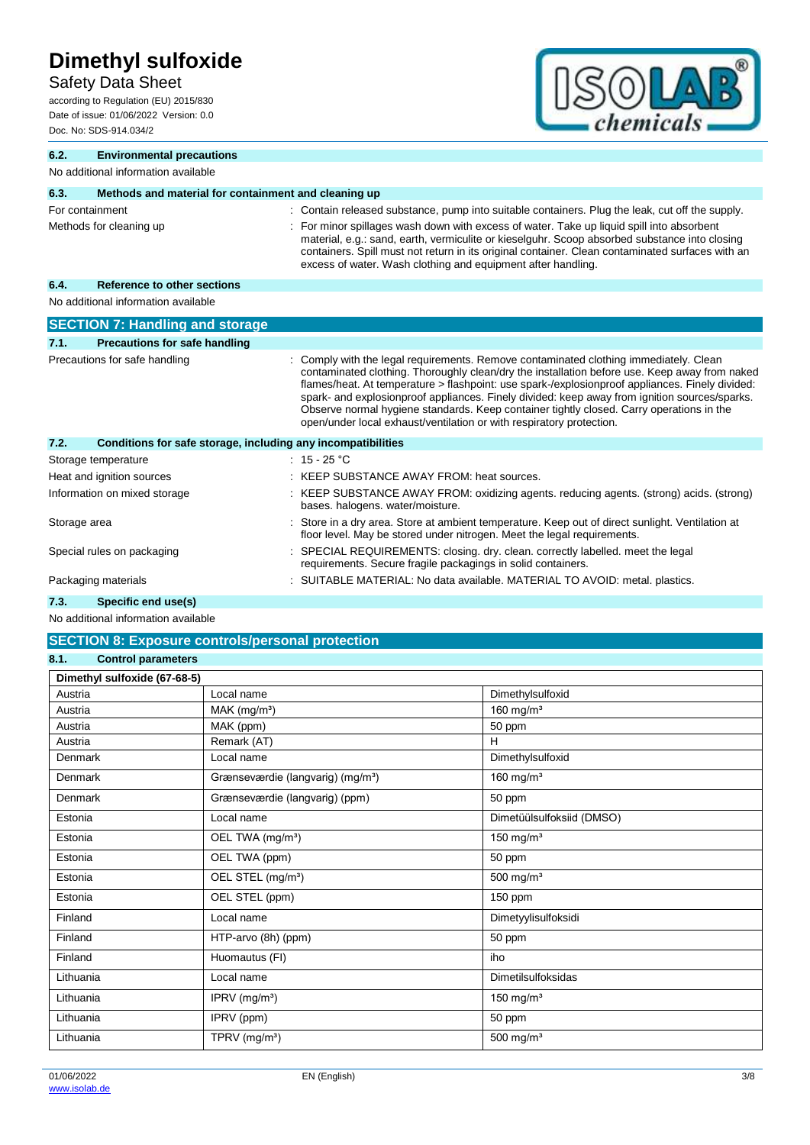Safety Data Sheet

according to Regulation (EU) 2015/830 Date of issue: 01/06/2022 Version: 0.0 Doc. No: SDS-914.034/2



| 6.2.            | <b>Environmental precautions</b>                             |                                                                                                                                                                                                                                                                                                                                                                                                                                                                                                                                                              |
|-----------------|--------------------------------------------------------------|--------------------------------------------------------------------------------------------------------------------------------------------------------------------------------------------------------------------------------------------------------------------------------------------------------------------------------------------------------------------------------------------------------------------------------------------------------------------------------------------------------------------------------------------------------------|
|                 | No additional information available                          |                                                                                                                                                                                                                                                                                                                                                                                                                                                                                                                                                              |
| 6.3.            | Methods and material for containment and cleaning up         |                                                                                                                                                                                                                                                                                                                                                                                                                                                                                                                                                              |
| For containment | Methods for cleaning up                                      | Contain released substance, pump into suitable containers. Plug the leak, cut off the supply.<br>For minor spillages wash down with excess of water. Take up liquid spill into absorbent<br>material, e.g.: sand, earth, vermiculite or kieselguhr. Scoop absorbed substance into closing<br>containers. Spill must not return in its original container. Clean contaminated surfaces with an<br>excess of water. Wash clothing and equipment after handling.                                                                                                |
| 6.4.            | Reference to other sections                                  |                                                                                                                                                                                                                                                                                                                                                                                                                                                                                                                                                              |
|                 | No additional information available                          |                                                                                                                                                                                                                                                                                                                                                                                                                                                                                                                                                              |
|                 | <b>SECTION 7: Handling and storage</b>                       |                                                                                                                                                                                                                                                                                                                                                                                                                                                                                                                                                              |
| 7.1.            | <b>Precautions for safe handling</b>                         |                                                                                                                                                                                                                                                                                                                                                                                                                                                                                                                                                              |
|                 | Precautions for safe handling                                | Comply with the legal requirements. Remove contaminated clothing immediately. Clean<br>contaminated clothing. Thoroughly clean/dry the installation before use. Keep away from naked<br>flames/heat. At temperature > flashpoint: use spark-/explosionproof appliances. Finely divided:<br>spark- and explosionproof appliances. Finely divided: keep away from ignition sources/sparks.<br>Observe normal hygiene standards. Keep container tightly closed. Carry operations in the<br>open/under local exhaust/ventilation or with respiratory protection. |
| 7.2.            | Conditions for safe storage, including any incompatibilities |                                                                                                                                                                                                                                                                                                                                                                                                                                                                                                                                                              |
|                 | Storage temperature                                          | $: 15 - 25 °C$                                                                                                                                                                                                                                                                                                                                                                                                                                                                                                                                               |
|                 | Heat and ignition sources                                    | KEEP SUBSTANCE AWAY FROM: heat sources.                                                                                                                                                                                                                                                                                                                                                                                                                                                                                                                      |
|                 | Information on mixed storage                                 | : KEEP SUBSTANCE AWAY FROM: oxidizing agents. reducing agents. (strong) acids. (strong)<br>bases. halogens. water/moisture.                                                                                                                                                                                                                                                                                                                                                                                                                                  |
| Storage area    |                                                              | Store in a dry area. Store at ambient temperature. Keep out of direct sunlight. Ventilation at<br>floor level. May be stored under nitrogen. Meet the legal requirements.                                                                                                                                                                                                                                                                                                                                                                                    |
|                 | Special rules on packaging                                   | SPECIAL REQUIREMENTS: closing. dry. clean. correctly labelled. meet the legal<br>requirements. Secure fragile packagings in solid containers.                                                                                                                                                                                                                                                                                                                                                                                                                |
|                 | Packaging materials                                          | SUITABLE MATERIAL: No data available. MATERIAL TO AVOID: metal. plastics.                                                                                                                                                                                                                                                                                                                                                                                                                                                                                    |
| 73              | Snacific and usals)                                          |                                                                                                                                                                                                                                                                                                                                                                                                                                                                                                                                                              |

### **7.3. Specific end use(s)**

| <b>SECTION 8: Exposure controls/personal protection</b> |                                               |                           |  |  |
|---------------------------------------------------------|-----------------------------------------------|---------------------------|--|--|
| 8.1.<br><b>Control parameters</b>                       |                                               |                           |  |  |
| Dimethyl sulfoxide (67-68-5)                            |                                               |                           |  |  |
| Austria                                                 | Local name                                    | Dimethylsulfoxid          |  |  |
| Austria                                                 | MAK (mg/m <sup>3</sup> )                      | 160 mg/ $m3$              |  |  |
| Austria                                                 | MAK (ppm)                                     | 50 ppm                    |  |  |
| Austria                                                 | Remark (AT)                                   | H                         |  |  |
| Denmark                                                 | Local name                                    | Dimethylsulfoxid          |  |  |
| Denmark                                                 | Grænseværdie (langvarig) (mg/m <sup>3</sup> ) | 160 mg/ $m3$              |  |  |
| Denmark                                                 | Grænseværdie (langvarig) (ppm)                | 50 ppm                    |  |  |
| Estonia                                                 | Local name                                    | Dimetüülsulfoksiid (DMSO) |  |  |
| Estonia                                                 | OEL TWA (mg/m <sup>3</sup> )                  | 150 mg/ $m3$              |  |  |
| Estonia                                                 | OEL TWA (ppm)                                 | 50 ppm                    |  |  |
| Estonia                                                 | OEL STEL (mg/m <sup>3</sup> )                 | 500 mg/ $m3$              |  |  |
| Estonia                                                 | OEL STEL (ppm)                                | 150 ppm                   |  |  |
| Finland                                                 | Local name                                    | Dimetyylisulfoksidi       |  |  |
| Finland                                                 | HTP-arvo (8h) (ppm)                           | 50 ppm                    |  |  |
| Finland                                                 | Huomautus (FI)                                | iho                       |  |  |
| Lithuania                                               | Local name                                    | <b>Dimetilsulfoksidas</b> |  |  |
| Lithuania                                               | IPRV (mg/m <sup>3</sup> )                     | 150 mg/ $m3$              |  |  |
| Lithuania                                               | IPRV (ppm)                                    | 50 ppm                    |  |  |
| Lithuania                                               | TPRV (mg/m <sup>3</sup> )                     | 500 mg/ $m3$              |  |  |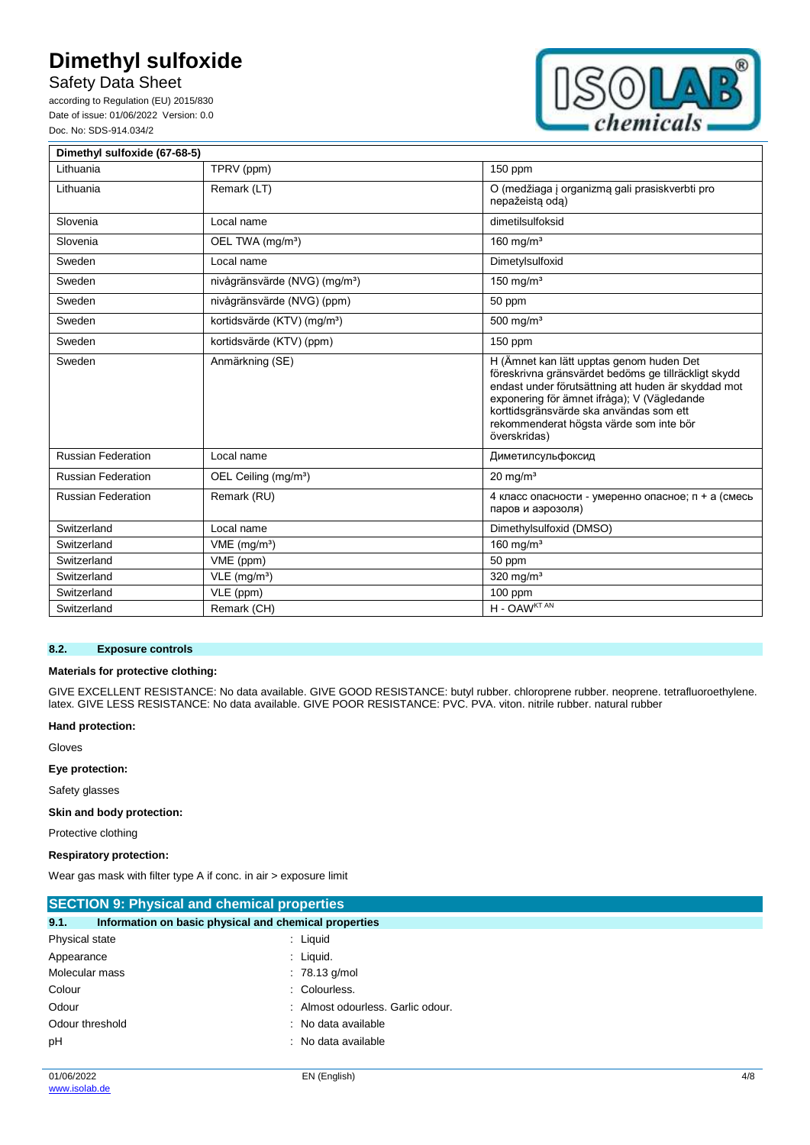### Safety Data Sheet

according to Regulation (EU) 2015/830 Date of issue: 01/06/2022 Version: 0.0 Doc. No: SDS-914.034/2



| Dimethyl sulfoxide (67-68-5) |                                           |                                                                                                                                                                                                                                                                                                              |
|------------------------------|-------------------------------------------|--------------------------------------------------------------------------------------------------------------------------------------------------------------------------------------------------------------------------------------------------------------------------------------------------------------|
| Lithuania                    | TPRV (ppm)                                | 150 ppm                                                                                                                                                                                                                                                                                                      |
| Lithuania                    | Remark (LT)                               | O (medžiaga į organizmą gali prasiskverbti pro<br>nepažeista oda)                                                                                                                                                                                                                                            |
| Slovenia                     | Local name                                | dimetilsulfoksid                                                                                                                                                                                                                                                                                             |
| Slovenia                     | OEL TWA (mg/m <sup>3</sup> )              | 160 mg/ $m3$                                                                                                                                                                                                                                                                                                 |
| Sweden                       | Local name                                | Dimetylsulfoxid                                                                                                                                                                                                                                                                                              |
| Sweden                       | nivågränsvärde (NVG) (mg/m <sup>3</sup> ) | 150 mg/m $3$                                                                                                                                                                                                                                                                                                 |
| Sweden                       | nivågränsvärde (NVG) (ppm)                | 50 ppm                                                                                                                                                                                                                                                                                                       |
| Sweden                       | kortidsvärde (KTV) (mg/m <sup>3</sup> )   | 500 mg/ $m3$                                                                                                                                                                                                                                                                                                 |
| Sweden                       | kortidsvärde (KTV) (ppm)                  | 150 ppm                                                                                                                                                                                                                                                                                                      |
| Sweden                       | Anmärkning (SE)                           | H (Ämnet kan lätt upptas genom huden Det<br>föreskrivna gränsvärdet bedöms ge tillräckligt skydd<br>endast under förutsättning att huden är skyddad mot<br>exponering för ämnet ifråga); V (Vägledande<br>korttidsgränsvärde ska användas som ett<br>rekommenderat högsta värde som inte bör<br>överskridas) |
| <b>Russian Federation</b>    | Local name                                | Диметилсульфоксид                                                                                                                                                                                                                                                                                            |
| <b>Russian Federation</b>    | OEL Ceiling (mg/m <sup>3</sup> )          | $20 \text{ mg/m}^3$                                                                                                                                                                                                                                                                                          |
| <b>Russian Federation</b>    | Remark (RU)                               | 4 класс опасности - умеренно опасное; п + а (смесь<br>паров и аэрозоля)                                                                                                                                                                                                                                      |
| Switzerland                  | Local name                                | Dimethylsulfoxid (DMSO)                                                                                                                                                                                                                                                                                      |
| Switzerland                  | $VME$ (mg/m <sup>3</sup> )                | $160$ mg/m <sup>3</sup>                                                                                                                                                                                                                                                                                      |
| Switzerland                  | VME (ppm)                                 | 50 ppm                                                                                                                                                                                                                                                                                                       |
| Switzerland                  | VLE (mg/m <sup>3</sup> )                  | 320 mg/m <sup>3</sup>                                                                                                                                                                                                                                                                                        |
| Switzerland                  | VLE (ppm)                                 | 100 ppm                                                                                                                                                                                                                                                                                                      |
| Switzerland                  | Remark (CH)                               | H - OAWKT AN                                                                                                                                                                                                                                                                                                 |

#### **8.2. Exposure controls**

#### **Materials for protective clothing:**

GIVE EXCELLENT RESISTANCE: No data available. GIVE GOOD RESISTANCE: butyl rubber. chloroprene rubber. neoprene. tetrafluoroethylene. latex. GIVE LESS RESISTANCE: No data available. GIVE POOR RESISTANCE: PVC. PVA. viton. nitrile rubber. natural rubber

#### **Hand protection:**

Gloves

**Eye protection:**

Safety glasses

**Skin and body protection:**

Protective clothing

**Respiratory protection:**

Wear gas mask with filter type A if conc. in air > exposure limit

| <b>SECTION 9: Physical and chemical properties</b>            |                                   |
|---------------------------------------------------------------|-----------------------------------|
| 9.1.<br>Information on basic physical and chemical properties |                                   |
| Physical state                                                | : Liquid                          |
| Appearance                                                    | $:$ Liquid.                       |
| Molecular mass                                                | $: 78.13$ g/mol                   |
| Colour                                                        | : Colourless.                     |
| Odour                                                         | : Almost odourless. Garlic odour. |
| Odour threshold                                               | : No data available               |
| рH                                                            | : No data available               |
|                                                               |                                   |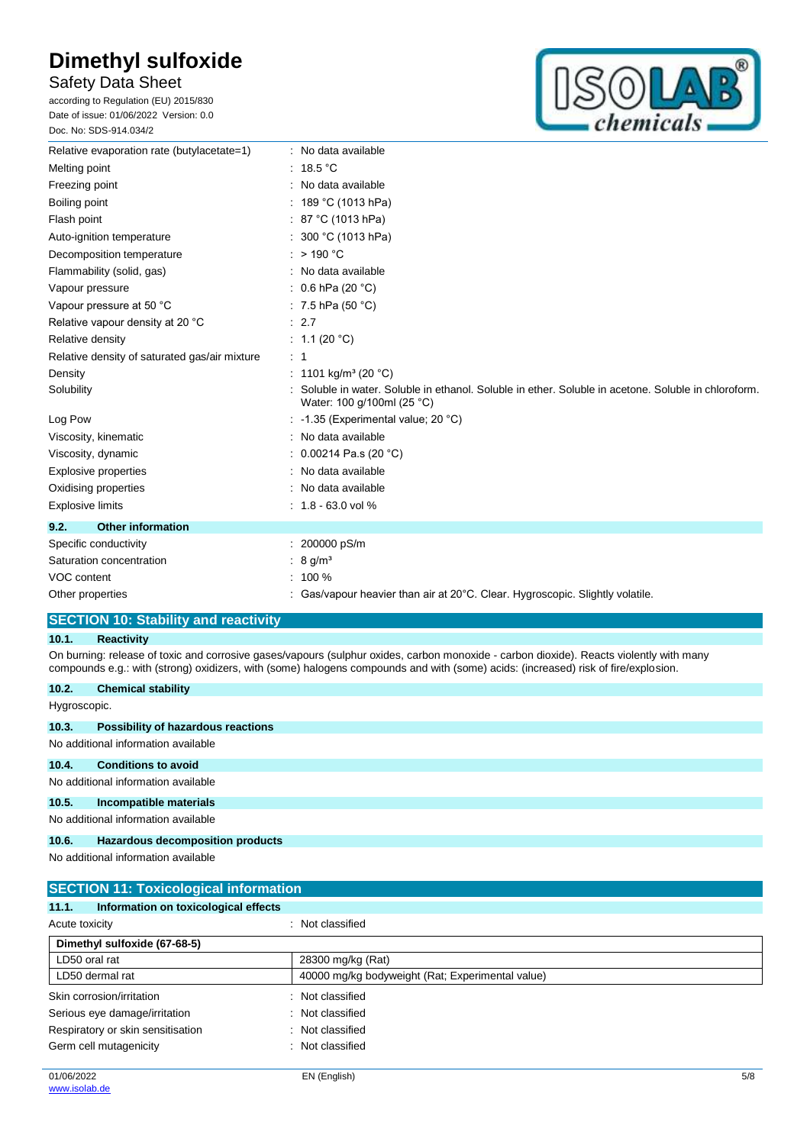### Safety Data Sheet

according to Regulation (EU) 2015/830 Date of issue: 01/06/2022 Version: 0.0 Doc. No: SDS-914.034/2



| Relative evaporation rate (butylacetate=1)    | : No data available                                                                                                              |
|-----------------------------------------------|----------------------------------------------------------------------------------------------------------------------------------|
| Melting point                                 | 18.5 $^{\circ}$ C                                                                                                                |
| Freezing point                                | No data available                                                                                                                |
| Boiling point                                 | 189 °C (1013 hPa)                                                                                                                |
| Flash point                                   | 87 °C (1013 hPa)                                                                                                                 |
| Auto-ignition temperature                     | : 300 °C (1013 hPa)                                                                                                              |
| Decomposition temperature                     | $:$ > 190 °C                                                                                                                     |
| Flammability (solid, gas)                     | No data available                                                                                                                |
| Vapour pressure                               | : $0.6$ hPa (20 °C)                                                                                                              |
| Vapour pressure at 50 °C                      | : 7.5 hPa (50 $^{\circ}$ C)                                                                                                      |
| Relative vapour density at 20 °C              | : 2.7                                                                                                                            |
| Relative density                              | : $1.1(20 °C)$                                                                                                                   |
| Relative density of saturated gas/air mixture | $\therefore$ 1                                                                                                                   |
| Density                                       | : 1101 kg/m <sup>3</sup> (20 °C)                                                                                                 |
| Solubility                                    | Soluble in water. Soluble in ethanol. Soluble in ether. Soluble in acetone. Soluble in chloroform.<br>Water: 100 g/100ml (25 °C) |
| Log Pow                                       | : -1.35 (Experimental value; 20 °C)                                                                                              |
| Viscosity, kinematic                          | No data available                                                                                                                |
| Viscosity, dynamic                            | 0.00214 Pa.s (20 $°C$ )                                                                                                          |
| <b>Explosive properties</b>                   | No data available                                                                                                                |
| Oxidising properties                          | No data available                                                                                                                |
| <b>Explosive limits</b>                       | $: 1.8 - 63.0$ vol %                                                                                                             |
| <b>Other information</b><br>9.2.              |                                                                                                                                  |
| Specific conductivity                         | 200000 pS/m                                                                                                                      |
| Saturation concentration                      | 8 g/m <sup>3</sup>                                                                                                               |
| VOC content                                   | 100 %                                                                                                                            |
| Other properties                              | Gas/vapour heavier than air at 20°C. Clear. Hygroscopic. Slightly volatile.                                                      |

### **SECTION 10: Stability and reactivity**

### **10.1. Reactivity**

On burning: release of toxic and corrosive gases/vapours (sulphur oxides, carbon monoxide - carbon dioxide). Reacts violently with many compounds e.g.: with (strong) oxidizers, with (some) halogens compounds and with (some) acids: (increased) risk of fire/explosion.

| 10.2.        | <b>Chemical stability</b>                 |
|--------------|-------------------------------------------|
| Hygroscopic. |                                           |
| 10.3.        | <b>Possibility of hazardous reactions</b> |
|              | No additional information available       |
| 10.4.        | <b>Conditions to avoid</b>                |
|              | No additional information available       |
| 10.5.        | Incompatible materials                    |
|              | No additional information available       |
| 10.6.        | Hazardous decomposition products          |

| <b>SECTION 11: Toxicological information</b>  |                                                  |  |
|-----------------------------------------------|--------------------------------------------------|--|
| 11.1.<br>Information on toxicological effects |                                                  |  |
| Acute toxicity                                | : Not classified                                 |  |
| Dimethyl sulfoxide (67-68-5)                  |                                                  |  |
| LD50 oral rat                                 | 28300 mg/kg (Rat)                                |  |
| LD50 dermal rat                               | 40000 mg/kg bodyweight (Rat; Experimental value) |  |
| Skin corrosion/irritation                     | : Not classified                                 |  |
| Serious eye damage/irritation<br>÷            | Not classified                                   |  |
| Respiratory or skin sensitisation             | : Not classified                                 |  |
| Germ cell mutagenicity<br>÷                   | Not classified                                   |  |
|                                               |                                                  |  |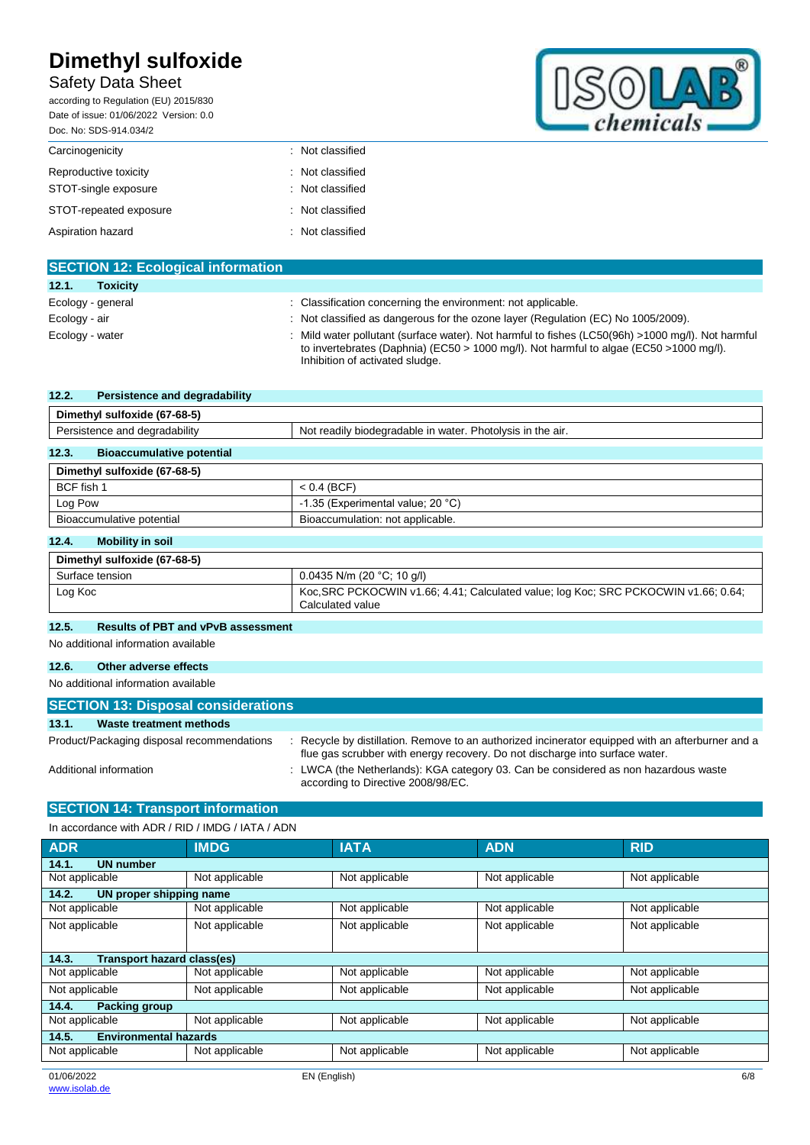## Safety Data Sheet

according to Regulation (EU) 2015/830 Date of issue: 01/06/2022 Version: 0.0 Doc. No: SDS-914.034/2 Carcinogenicity **Example 2018** 2019 2019 2019 2021 2022 2023 Reproductive toxicity **in the case of the CRS** control of the Reproductive toxicity STOT-single exposure : Not classified STOT-repeated exposure : Not classified Aspiration hazard **in the set of the set of the set of the set of the set of the set of the set of the set of the set of the set of the set of the set of the set of the set of the set of the set of the set of the set of th** 

| remica. |  |
|---------|--|

| <b>SECTION 12: Ecological information</b> |                                                                                                                                                                                                                               |
|-------------------------------------------|-------------------------------------------------------------------------------------------------------------------------------------------------------------------------------------------------------------------------------|
| 12.1.<br><b>Toxicity</b>                  |                                                                                                                                                                                                                               |
| Ecology - general                         | : Classification concerning the environment: not applicable.                                                                                                                                                                  |
| Ecology - air                             | : Not classified as dangerous for the ozone layer (Regulation (EC) No 1005/2009).                                                                                                                                             |
| Ecology - water                           | Mild water pollutant (surface water). Not harmful to fishes (LC50(96h) >1000 mg/l). Not harmful<br>to invertebrates (Daphnia) (EC50 > 1000 mg/l). Not harmful to algae (EC50 > 1000 mg/l).<br>Inhibition of activated sludge. |

| 12.2.<br>Persistence and degradability    |                                                                                     |  |
|-------------------------------------------|-------------------------------------------------------------------------------------|--|
| Dimethyl sulfoxide (67-68-5)              |                                                                                     |  |
| Persistence and degradability             | Not readily biodegradable in water. Photolysis in the air.                          |  |
| <b>Bioaccumulative potential</b><br>12.3. |                                                                                     |  |
| Dimethyl sulfoxide (67-68-5)              |                                                                                     |  |
| BCF fish 1                                | $< 0.4$ (BCF)                                                                       |  |
| Log Pow                                   | -1.35 (Experimental value; 20 °C)                                                   |  |
| Bioaccumulative potential                 | Bioaccumulation: not applicable.                                                    |  |
| <b>Mobility in soil</b><br>12.4.          |                                                                                     |  |
| Dimethyl sulfoxide (67-68-5)              |                                                                                     |  |
| Surface tension                           | 0.0435 N/m (20 $^{\circ}$ C; 10 g/l)                                                |  |
| Loa Koc                                   | Koc, SRC PCKOCWIN v1.66; 4.41; Calculated value; log Koc; SRC PCKOCWIN v1.66; 0.64; |  |

Calculated value

#### **12.5. Results of PBT and vPvB assessment**

No additional information available

#### **12.6. Other adverse effects**

#### No additional information available

| <b>SECTION 13: Disposal considerations</b> |                                                                                                                                                                                 |  |  |
|--------------------------------------------|---------------------------------------------------------------------------------------------------------------------------------------------------------------------------------|--|--|
| 13.1.<br>Waste treatment methods           |                                                                                                                                                                                 |  |  |
| Product/Packaging disposal recommendations | Recycle by distillation. Remove to an authorized incinerator equipped with an afterburner and a<br>flue gas scrubber with energy recovery. Do not discharge into surface water. |  |  |
| Additional information                     | : LWCA (the Netherlands): KGA category 03. Can be considered as non hazardous waste<br>according to Directive 2008/98/EC.                                                       |  |  |

### **SECTION 14: Transport information**

| In accordance with ADR / RID / IMDG / IATA / ADN |                |                |                |                |
|--------------------------------------------------|----------------|----------------|----------------|----------------|
| <b>ADR</b>                                       | <b>IMDG</b>    | <b>IATA</b>    | <b>ADN</b>     | <b>RID</b>     |
| 14.1.<br><b>UN number</b>                        |                |                |                |                |
| Not applicable                                   | Not applicable | Not applicable | Not applicable | Not applicable |
| 14.2.<br>UN proper shipping name                 |                |                |                |                |
| Not applicable                                   | Not applicable | Not applicable | Not applicable | Not applicable |
| Not applicable                                   | Not applicable | Not applicable | Not applicable | Not applicable |
|                                                  |                |                |                |                |
| 14.3.<br>Transport hazard class(es)              |                |                |                |                |
| Not applicable                                   | Not applicable | Not applicable | Not applicable | Not applicable |
| Not applicable                                   | Not applicable | Not applicable | Not applicable | Not applicable |
| 14.4.<br><b>Packing group</b>                    |                |                |                |                |
| Not applicable                                   | Not applicable | Not applicable | Not applicable | Not applicable |
| 14.5.<br><b>Environmental hazards</b>            |                |                |                |                |
| Not applicable                                   | Not applicable | Not applicable | Not applicable | Not applicable |
|                                                  |                |                |                |                |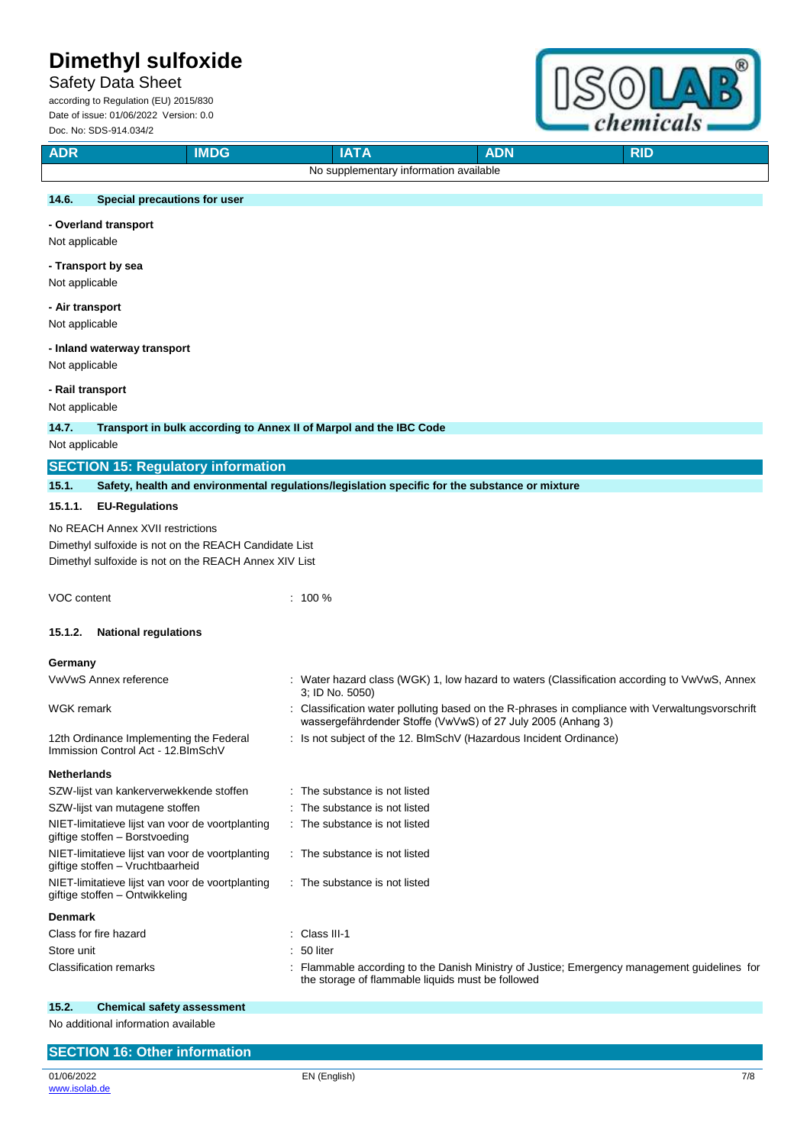# Safety Data Sheet

according to Regulation (EU) 2015/830 Date of issue: 01/06/2022 Version: 0.0 Doc. No: SDS-914.034/2



| <b>ADR</b>            | 000.110.000-314.004/2<br><b>IMDG</b>                                                           | <b>IATA</b>                                                  | <b>ADN</b>                                                       | <b>RID</b>                                                                                     |
|-----------------------|------------------------------------------------------------------------------------------------|--------------------------------------------------------------|------------------------------------------------------------------|------------------------------------------------------------------------------------------------|
|                       |                                                                                                | No supplementary information available                       |                                                                  |                                                                                                |
|                       |                                                                                                |                                                              |                                                                  |                                                                                                |
| 14.6.                 | Special precautions for user                                                                   |                                                              |                                                                  |                                                                                                |
|                       | - Overland transport                                                                           |                                                              |                                                                  |                                                                                                |
| Not applicable        |                                                                                                |                                                              |                                                                  |                                                                                                |
| - Transport by sea    |                                                                                                |                                                              |                                                                  |                                                                                                |
| Not applicable        |                                                                                                |                                                              |                                                                  |                                                                                                |
| - Air transport       |                                                                                                |                                                              |                                                                  |                                                                                                |
| Not applicable        |                                                                                                |                                                              |                                                                  |                                                                                                |
|                       | - Inland waterway transport                                                                    |                                                              |                                                                  |                                                                                                |
| Not applicable        |                                                                                                |                                                              |                                                                  |                                                                                                |
| - Rail transport      |                                                                                                |                                                              |                                                                  |                                                                                                |
| Not applicable        |                                                                                                |                                                              |                                                                  |                                                                                                |
| 14.7.                 | Transport in bulk according to Annex II of Marpol and the IBC Code                             |                                                              |                                                                  |                                                                                                |
| Not applicable        |                                                                                                |                                                              |                                                                  |                                                                                                |
|                       | <b>SECTION 15: Regulatory information</b>                                                      |                                                              |                                                                  |                                                                                                |
| 15.1.                 | Safety, health and environmental regulations/legislation specific for the substance or mixture |                                                              |                                                                  |                                                                                                |
| 15.1.1.               | <b>EU-Regulations</b>                                                                          |                                                              |                                                                  |                                                                                                |
|                       | No REACH Annex XVII restrictions                                                               |                                                              |                                                                  |                                                                                                |
|                       | Dimethyl sulfoxide is not on the REACH Candidate List                                          |                                                              |                                                                  |                                                                                                |
|                       | Dimethyl sulfoxide is not on the REACH Annex XIV List                                          |                                                              |                                                                  |                                                                                                |
|                       |                                                                                                |                                                              |                                                                  |                                                                                                |
| VOC content           |                                                                                                | $: 100 \%$                                                   |                                                                  |                                                                                                |
| 15.1.2.               | <b>National regulations</b>                                                                    |                                                              |                                                                  |                                                                                                |
|                       |                                                                                                |                                                              |                                                                  |                                                                                                |
| Germany               |                                                                                                |                                                              |                                                                  |                                                                                                |
|                       | VwVwS Annex reference                                                                          | 3; ID No. 5050)                                              |                                                                  | Water hazard class (WGK) 1, low hazard to waters (Classification according to VwVwS, Annex     |
| WGK remark            |                                                                                                |                                                              |                                                                  | Classification water polluting based on the R-phrases in compliance with Verwaltungsvorschrift |
|                       |                                                                                                |                                                              | wassergefährdender Stoffe (VwVwS) of 27 July 2005 (Anhang 3)     |                                                                                                |
|                       | 12th Ordinance Implementing the Federal<br>Immission Control Act - 12. BlmSchV                 |                                                              | Is not subject of the 12. BImSchV (Hazardous Incident Ordinance) |                                                                                                |
|                       |                                                                                                |                                                              |                                                                  |                                                                                                |
| <b>Netherlands</b>    |                                                                                                |                                                              |                                                                  |                                                                                                |
|                       | SZW-lijst van kankerverwekkende stoffen<br>SZW-lijst van mutagene stoffen                      | : The substance is not listed<br>The substance is not listed |                                                                  |                                                                                                |
|                       | NIET-limitatieve lijst van voor de voortplanting                                               | The substance is not listed                                  |                                                                  |                                                                                                |
|                       | giftige stoffen - Borstvoeding                                                                 |                                                              |                                                                  |                                                                                                |
|                       | NIET-limitatieve lijst van voor de voortplanting<br>giftige stoffen - Vruchtbaarheid           | : The substance is not listed                                |                                                                  |                                                                                                |
|                       | NIET-limitatieve lijst van voor de voortplanting                                               | : The substance is not listed                                |                                                                  |                                                                                                |
|                       | giftige stoffen - Ontwikkeling                                                                 |                                                              |                                                                  |                                                                                                |
| <b>Denmark</b>        |                                                                                                |                                                              |                                                                  |                                                                                                |
| Class for fire hazard |                                                                                                | : Class III-1                                                |                                                                  |                                                                                                |
| Store unit            |                                                                                                | 50 liter                                                     |                                                                  |                                                                                                |
|                       | <b>Classification remarks</b>                                                                  | the storage of flammable liquids must be followed            |                                                                  | Flammable according to the Danish Ministry of Justice; Emergency management guidelines for     |
|                       |                                                                                                |                                                              |                                                                  |                                                                                                |
| 15.2.                 | <b>Chemical safety assessment</b>                                                              |                                                              |                                                                  |                                                                                                |

No additional information available

#### 01/06/2022 [www.isolab.de](http://www.isolab.de/) EN (English) 7/8 **SECTION 16: Other information**